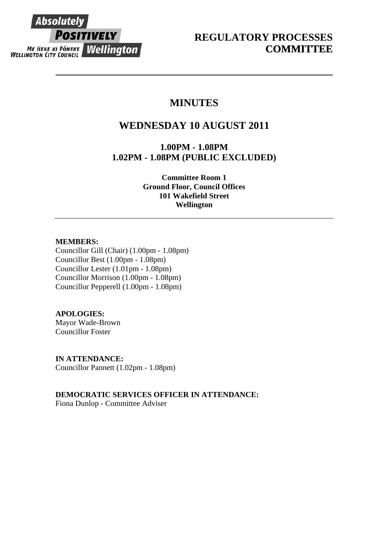# **Absolutely POSITIVELY ME HEKE KI PONEKE WELLINGTON**

# **MINUTES**

# **WEDNESDAY 10 AUGUST 2011**

**1.00PM - 1.08PM 1.02PM - 1.08PM (PUBLIC EXCLUDED)** 

> **Committee Room 1 Ground Floor, Council Offices 101 Wakefield Street Wellington**

## **MEMBERS:**

Councillor Gill (Chair) (1.00pm - 1.08pm) Councillor Best (1.00pm - 1.08pm) Councillor Lester (1.01pm - 1.08pm) Councillor Morrison (1.00pm - 1.08pm) Councillor Pepperell (1.00pm - 1.08pm)

# **APOLOGIES:**

Mayor Wade-Brown Councillor Foster

**IN ATTENDANCE:**  Councillor Pannett (1.02pm - 1.08pm)

# **DEMOCRATIC SERVICES OFFICER IN ATTENDANCE:**

Fiona Dunlop - Committee Adviser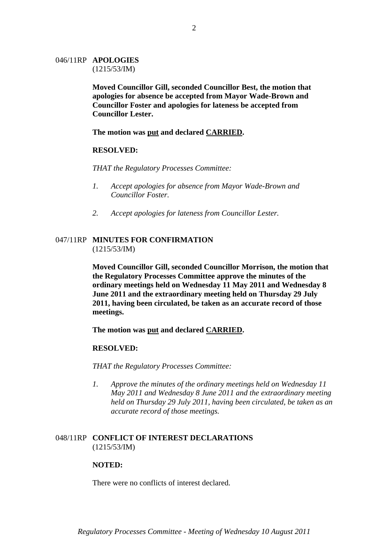# 046/11RP **APOLOGIES**

(1215/53/IM)

**Moved Councillor Gill, seconded Councillor Best, the motion that apologies for absence be accepted from Mayor Wade-Brown and Councillor Foster and apologies for lateness be accepted from Councillor Lester.** 

**The motion was put and declared CARRIED.** 

### **RESOLVED:**

*THAT the Regulatory Processes Committee:* 

- *1. Accept apologies for absence from Mayor Wade-Brown and Councillor Foster.*
- *2. Accept apologies for lateness from Councillor Lester.*

### 047/11RP **MINUTES FOR CONFIRMATION**  (1215/53/IM)

**Moved Councillor Gill, seconded Councillor Morrison, the motion that the Regulatory Processes Committee approve the minutes of the ordinary meetings held on Wednesday 11 May 2011 and Wednesday 8 June 2011 and the extraordinary meeting held on Thursday 29 July 2011, having been circulated, be taken as an accurate record of those meetings.** 

**The motion was put and declared CARRIED.** 

#### **RESOLVED:**

*THAT the Regulatory Processes Committee:* 

*1. Approve the minutes of the ordinary meetings held on Wednesday 11 May 2011 and Wednesday 8 June 2011 and the extraordinary meeting held on Thursday 29 July 2011, having been circulated, be taken as an accurate record of those meetings.* 

#### 048/11RP **CONFLICT OF INTEREST DECLARATIONS** (1215/53/IM)

#### **NOTED:**

There were no conflicts of interest declared.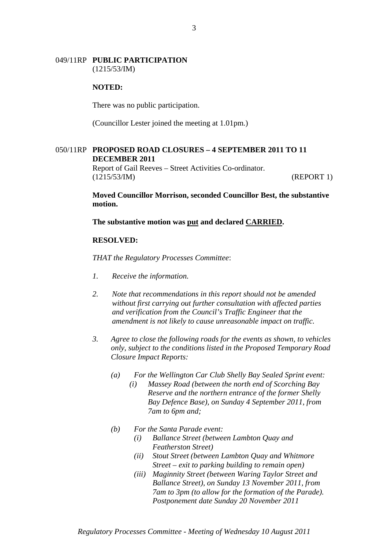#### 049/11RP **PUBLIC PARTICIPATION** (1215/53/IM)

#### **NOTED:**

There was no public participation.

(Councillor Lester joined the meeting at 1.01pm.)

#### 050/11RP **PROPOSED ROAD CLOSURES – 4 SEPTEMBER 2011 TO 11 DECEMBER 2011**

Report of Gail Reeves – Street Activities Co-ordinator. (1215/53/IM) (REPORT 1)

**Moved Councillor Morrison, seconded Councillor Best, the substantive motion.** 

**The substantive motion was put and declared CARRIED.** 

#### **RESOLVED:**

*THAT the Regulatory Processes Committee*:

- *1. Receive the information.*
- *2. Note that recommendations in this report should not be amended without first carrying out further consultation with affected parties and verification from the Council's Traffic Engineer that the amendment is not likely to cause unreasonable impact on traffic.*
- *3. Agree to close the following roads for the events as shown, to vehicles only, subject to the conditions listed in the Proposed Temporary Road Closure Impact Reports:* 
	- *(a) For the Wellington Car Club Shelly Bay Sealed Sprint event:* 
		- *(i) Massey Road (between the north end of Scorching Bay Reserve and the northern entrance of the former Shelly Bay Defence Base), on Sunday 4 September 2011, from 7am to 6pm and;*
	- *(b) For the Santa Parade event:* 
		- *(i) Ballance Street (between Lambton Quay and Featherston Street)*
		- *(ii) Stout Street (between Lambton Quay and Whitmore Street – exit to parking building to remain open)*
		- *(iii) Maginnity Street (between Waring Taylor Street and Ballance Street), on Sunday 13 November 2011, from 7am to 3pm (to allow for the formation of the Parade). Postponement date Sunday 20 November 2011*

3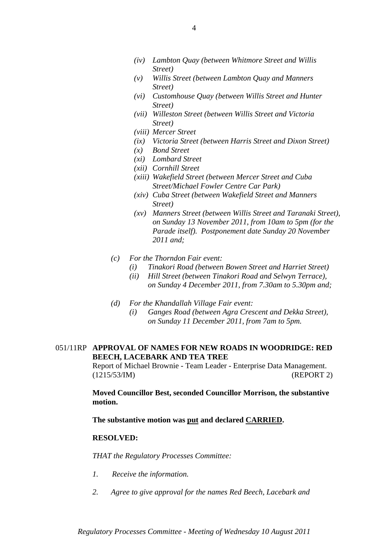- *(iv) Lambton Quay (between Whitmore Street and Willis Street)*
- *(v) Willis Street (between Lambton Quay and Manners Street)*
- *(vi) Customhouse Quay (between Willis Street and Hunter Street)*
- *(vii) Willeston Street (between Willis Street and Victoria Street)*
- *(viii) Mercer Street*
- *(ix) Victoria Street (between Harris Street and Dixon Street)*
- *(x) Bond Street*
- *(xi) Lombard Street*
- *(xii) Cornhill Street*
- *(xiii) Wakefield Street (between Mercer Street and Cuba Street/Michael Fowler Centre Car Park)*
- *(xiv) Cuba Street (between Wakefield Street and Manners Street)*
- *(xv) Manners Street (between Willis Street and Taranaki Street), on Sunday 13 November 2011, from 10am to 5pm (for the Parade itself). Postponement date Sunday 20 November 2011 and;*
- *(c) For the Thorndon Fair event:* 
	- *(i) Tinakori Road (between Bowen Street and Harriet Street)*
	- *(ii) Hill Street (between Tinakori Road and Selwyn Terrace), on Sunday 4 December 2011, from 7.30am to 5.30pm and;*
- *(d) For the Khandallah Village Fair event:* 
	- *(i) Ganges Road (between Agra Crescent and Dekka Street), on Sunday 11 December 2011, from 7am to 5pm.*

### 051/11RP **APPROVAL OF NAMES FOR NEW ROADS IN WOODRIDGE: RED BEECH, LACEBARK AND TEA TREE**

Report of Michael Brownie - Team Leader - Enterprise Data Management. (1215/53/IM) (REPORT 2)

**Moved Councillor Best, seconded Councillor Morrison, the substantive motion.** 

**The substantive motion was put and declared CARRIED.** 

#### **RESOLVED:**

*THAT the Regulatory Processes Committee:* 

- *1. Receive the information.*
- *2. Agree to give approval for the names Red Beech, Lacebark and*

*Regulatory Processes Committee - Meeting of Wednesday 10 August 2011*